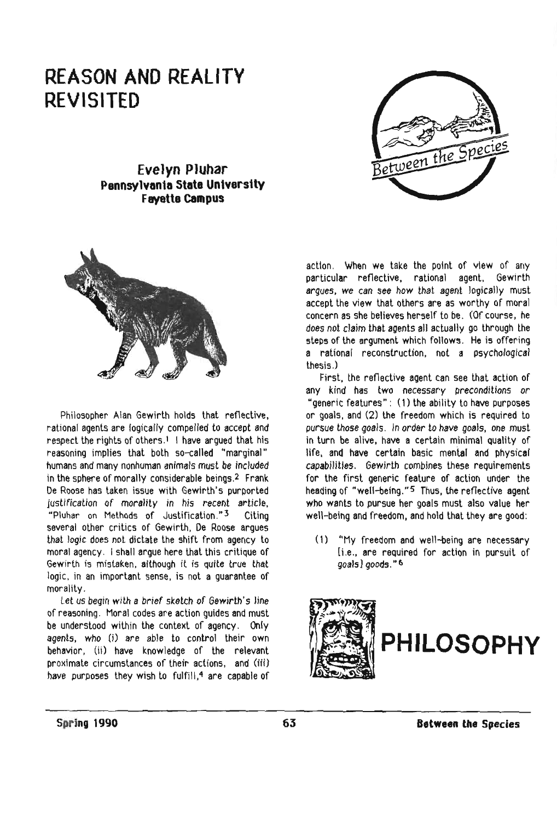## **REASON AND REALITY REVISITED**



## **Evelyn Pluhar Pennsylvania State University Favette campus**



Philosopher Alan Gewirth holds that refleclive, rational agents are logically compelled to accept and respect the rights of others.<sup>1</sup> I have argued that his reasoning implies that both so-called "marginal" humans and many nonhuman animals must be included in the sphere of morally considerable beings.2 Frank De Roose has taken issue with Gewirth's purported justification of morality in his recent article, "Pluhar on Methods of Justification." 3 Citing several other critics of Gewirth, De Roose argues that logic does not dictate the shift from agency to moral agency. I shall argue here that this critique of Gewirth is mistaken, although it is quite true that logic, in an important sense, is not a guarantee of morality.

Let us begin with a brief sketch of Gewirth's line of reasoning. Moral codes are action guides and must be understood within the context of agency. Only agents, who (j) are able to control their own behavior, (ii) have knowledge of the relevant proximate circumstances of their actions, and (iii) have purposes they wish to fulfill,<sup>4</sup> are capable of

action. When we take the point of view of any particular reflective. rational agent. Gewirth argues. we can see how that agent logically must accept the view that others are as worthy of moral concern as she believes herself to be. (Of course. he does not claim that agents all actually go through the steps of the argument which follows. He is offering a rational reconstruction. not a psychological thesis,)

First. the reflective agent can see that action of any kind has two necessary preconditions or "generic features": (1) the ability to have purposes or goals, and (2) the freedom which is required to pursue those goals. In order to have goals, one must in turn be alive. have a certain minimal quality of life, and have certain basic mental and physical capabilities. Gewirth combines these requirements for the first generic feature of action under the heading of "well-being." 5 Thus. the reflective agent who wants to pursue her goals must also value her well-being and freedom. and hold that they are good:

(1) "My freedom and well-being are necessary [i.e .• are required for action in pursuit of goals l goods." 6

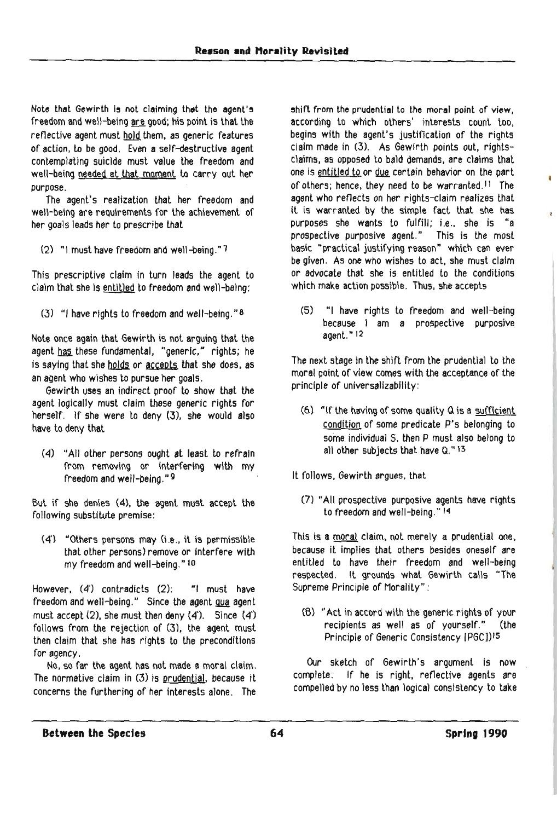Note that Gewirth is not claiming that the agent's freedom and well-being are good; his point is that the reflective agent must hold them, as generic features of action, to be good. Even a self-destructive agent contemplating suicide must value the freedom and well-being needed at that moment to carry out her purpose.

The agent's realization that her freedom and well-being are requirements for the achievement of her goals leads her to prescribe that

(2) "I must have freedom and well-being."?

This prescriptive claim in turn leads the agent to claim that she is entitled to freedom and well-being:

(3) "I have rights to freedom and well-being." $8$ 

Note once again that Gewirth is not arguing that the agent has these fundamental, "generic," rights; he is saying that she holds or accepts that she does, as an agent who wishes to pursue her goals.

Gewirth uses an indirect proof to show that the agent logically must claim these generic rights for herself. If she were to deny (3), she would also have to deny that

(4) "All other persons ought at least to refrain from removing or Interfering with my freedom and well-being." 9

But if she denies (4). the agent must accept the following substitute premise:

 $(4')$  "Others persons may  $(i.e., it is permissible$ that other persons) remove or Interfere with my freedom and well-being." 10

However, (4) contradicts (2): "I must have freedom and well-being." Since the agent gua agent must accept (2). she must then deny (4'). Since (4') follows from the rejection of (3), the agent must then claim that she has rights to the preconditions for agency,

No. so far the agent has not made a moral claim. The normative claim in (3) is prudential, because it concerns the furthering of her interests alone. The

shift from the prudential to the moral point of view, according to which others' interests count too, begins with the agent's justification of the rights claim made in (3). As Gewirth points out, rightsclaims, as opposed to bald demands. are claims that one is entitled to or due certain behavior on the part of others; hence, they need to be warranted. II The agent who reflects on her rights-claim realizes that it is warranted by the simple fact that she has purposes she wants to fulfill; i.e., she is "a prospeelive purposive agent." This is the most basic "practical justifying reason" which can ever be given. As one who wishes to act. she must claim or advocate that she is entitled to the conditions which make action possible. Thus, she accepts

(5) "I have rights to freedom and well-being  $because \quad | \quad am \quad a \quad prospective \quad purpose$ agent." 12

The next stage in the shift from the prudential to the moral point of view comes with the acceptance of the principle of universalizability:

- (6) "If the having of some quality Q is a sufficient condition of some predicate P's belonging to some individual S. then P must also belong to all other subjects that have Q." 13
- It follows. Gewirth argues, that
	- (7) "All prospective purposive agents have rights to freedom and well-being." 14

This is a moral claim, not merely a prudential one, because it implies that others besides oneself are entitled to have their freedom and well-being respected. It grounds what Gewirth calls "The Supreme Principle of Morality":

(8) "Act in accord with the generic rights of your recipients as well as of yourself." (the Principle of Generic Consistency [PGCJ)15

Our sketch of Gewirth's argument is now complete: If he is right. reflective agents are compelled by no less than logical consistency to take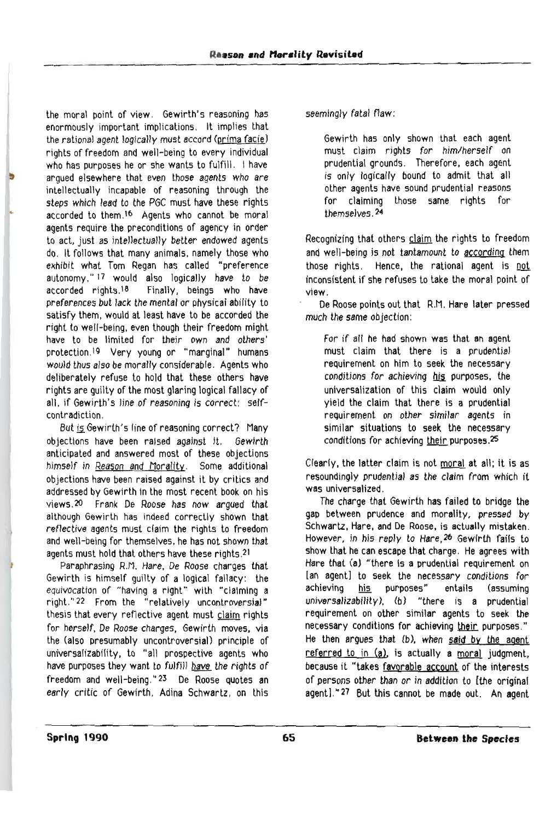the moral point of view. Gewirth's reasoning has enormously important implications. It implies that the rational agent logically must accord (prima facie) rights of freedom and well-being to every individual who has purposes he or she wants to fulfill. I have argued elsewhere that even those agents who are intellectually incapable of reasoning through the steps which lead to the PGC must have these rights accorded to them.<sup>16</sup> Agents who cannot be moral agents require the preconditions of agency in order to act, just as intellectually better endowed agents do. It follows that many animals. namely those who exhibit what Tom Regan has called "preference autonomy,"<sup>17</sup> would also logically have to be accorded rights.<sup>18</sup> Finally, beings who have preferences but lack the mental or physical ability to satisfy them, would at least have to be accorded the right to well-being, even though their freedom might have to be limited for their own and others' protection, 19 Very young or "marginal" humans would thus also be morally considerable. Agents who deliberately refuse to hold that these others have rights are guilty of the most glaring logical fallacy of all. if Gewirth's line of reasoning is correct: selfcontradiction.

But is Gewirth's line of reasoning correct? Many objections have been raised against it. Gewirth anticipated and answered most of these objections himself in Reason and Morality. Some additional objections have been raised against it by critics and addressed by Gewirth in the most recent book on his Ylews,20 Frank De Roose has now argued that although Gewirth has indeed correctly shown that reflective agents must claim the rights to freedom and well-being for themselves, he has not shown that agents must hold that others have these rights.21

Paraphrasing R.M. Hare, De Roose charges that Gewirth is himself guilty of a logical fallacy: the equivocation of "having a right" with "claIming a right."22 From the "relatively uncontroversial" thesis that every reflective agent must claim rights for herself. De Roose charges, Gewirth moves. via the (also presumably uncontroversiaJ) principle of universalizability. to "all prospective agents who have purposes they want to fulfill have the rights of freedom and well-being." 23 De Roose quotes an early critic of Gewirth. Adina Schwartz. on this seemingly fatal flaw:

Gewirth has only shown that each agent must claim rights for him/herself on prudential grounds. Therefore, each agent is only logically bound to admit that all other agents have sound prudential reasons for claiming those same rights for themselves. 24

Recognizing that others claim the rights to freedom and well-being is not tantamount to according them those rights. Hence, the rational agent is not inconsistent if she refuses to take the moral point of view.

De Roose points out that R.M. Hare later pressed much the same objection:

For if all he had shown was that an agent must claim that there is a prudential requirement on him to seek the necessary conditions for achieving his purposes, the universalization of this claim would only yield the claim that there is a prudential requirement on other similar agents in similar situations to seek the necessary conditions for achieving their purposes. $25$ 

Clearly, the latter claim is not moral at all; it is as resoundingly prudential as the claim from which it was universalized.

The charge that Gewirth has failed to bridge the gap between prudence and morality, pressed by Schwartz, Hare, and De Roose, is actually mistaken. However. in his reply to Hare,26 Gewlrth fails to show that he can escape that charge. He agrees with Hare that (a) "there is a prudential requirement on Ian agent] to seek the necessary conditions for achieving his purposes" enlails (assuming universalizability), (b) "there is a prudential requirement on other similar agents to seek the necessary conditions for achieving their purposes." He then argues that (b). when said by the agent referred to in (a), is actually a moral judgment, because it "takes favorable account of the interests of persons other than or in addition to [the original agent]."27 But this cannot be made out. An agent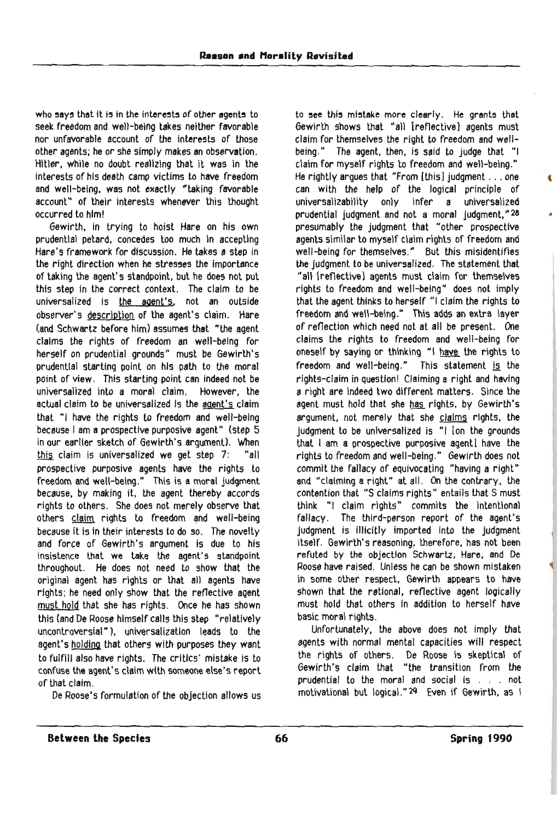who says that it is in the interests of other agents to seek freedom and well-being takes neither favorable nor unfavorable account of the interests of those other agents; he or she simply makes an observation. Hitler, while no doubt realizing that it was in the interests of his death camp victims to have freedom and well-being, was not exactly "taking favorable account" of their interests whenever this thought occurred to him!

Gewirth, in trying to hoist Hare on his own prudential petard, concedes too much In accepting Hare's framework for discussion. He takes a step in the right direction when he stresses the importance of taking the agent's standpoint, but he does not put this step in the correct context. The claim to be universalized is the agent's, not an outside observer's description of the agent's claim. Hare (and Schwartz before him) assumes that "the agent claims the rights of freedom an well-being for herself on prudential grounds" must be Gewirth's prudential starting point on his path to the moral point of view, This starting point can indeed not be universalized into a moral claim. However, the actual claim to be universalized Is the agent's claim that "I have the rights to freedom and well-being because I am a prospective purposive agent" (step 5 in our earlier sketch of Gewirth's argument). When this claim is universalized we get step 7: "all prospective purposive agents have the rights to freedom and well-being." This is a moral judgment because, by making it. the agent thereby accords rights to others. She does not merely observe that others claim rights to freedom and well-being because it is in their interests to do 50. The novelty and force of Gewirth's argument is due to his insistence that we take the agent's standpoint throughout. He does not need to show that the original agent has rights or that all agents have rights; he need only show that the reflective agent must hold that she has rights. Once he has shown this (and De Roose himself calls this step "relatively uncontroversial" ). universalization leads to the agent's holdina that others with purposes they want to fulfill also have rights. The critics' mistake is to confuse the agent's claim with someone else's report of that claim.

De Roose's formulation of the objection allows us

to see this mistake more clearly. He grants that Gewirth shows that "all [reflective] agents must claim for themselves the right to freedom and wellbeing." The agent, then, is said to judge that "I claim for myself rights to freedom and well-being." He rightly argues that "From (thisl judgment ... one can with the help of the logical principle of universalizability only infer a universalized prudential judgment and not a moral judgment," 28 • presumably the judgment that "other prospective agents similar to myself claim rights of freedom and well-being for themselves." But this misidentifies the judgment to be universalized. The statement that "all (reflective) agents must claim for themselves rights to freedom and well-being" does not imply that the agent thinks to herself "I claim the rights to freedom and well-being." This adds an extra layer of reflection which need not at all be present. One claims the rights to freedom and well-being for oneself by saying or thinking "I have the rights to freedom and well-being." This statement is the rights-claim in question! Claiming a right and having a right are indeed two different matters. Since the agent must hold that she has rights, by Gewirth's argument, not merely that she claims rights, the judgment to be universalized is "I [on the grounds that I am a prospective purposive agent) have the rights to freedom and well-being." Gewirth does not commit the fallacy of equivocating "having a right" and "claiming aright" at all. On the contrary, the contention that "S claims rights" entails that S must think "I claim rights" commits the intentional fallacy. The third-person report of the agent's judgment is illicitly imported into the judgment itself. Gewirth's reasoning, therefore, has not been refuted by the objection Schwartz, Hare, and De Roose have raised. Unless he can be shown mistaken in some other respect. Gewirth appears to have shown that the rational, reflective agent logically must hold that others in addition to herself have basic moral rights,

Unfortunately, the above does not imply that agents with normal mental capacities will respect the rights of others. De Roose is skeptical of Gewirth"s claim that "the transition from the prudential to the moral and social is . . . not motivational but logical." 29 Even if Gewirth. as I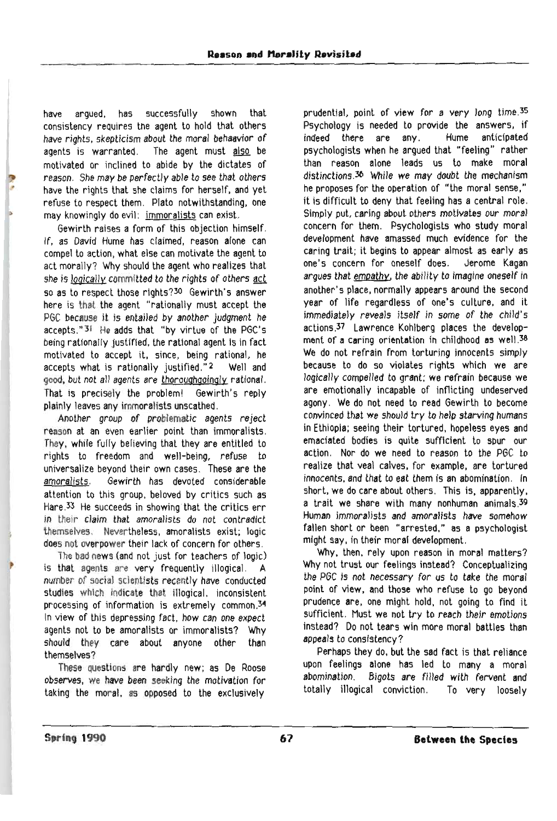have argued. has successfully shown that consistency requires the agent to hold that others have rights. skepticism about the moral behaavior of agents is warranted. The agent must also be motivated or inclined to abide by the dictates of reason. She may be perfectly able to see that others have the rights that she claims for herself, and yet refuse to respect them. Plato notwithstanding. one may knowingly do evil: immoralists can exist.

Gewirth raises a form of this objection himself. If. as David Hume has claimed, reason alone can compel to action. what else can motivate the agent to act morally? Why should the agent who realizes that she is logically committed to the rights of others act 50 as to respect those rlghts?30 Gewirth's answer here is that the agent "rationally must accept the PGC because it is entailed by another judgment he accepts."31 He adds that "by virtue of the PGC's being rationally justified, the rational agent is in fact motivated to accept it, since, being rational, he accepts what is rationally justified."<sup>2</sup> Well and good, but not all agents are thoroughgoingly rational. That is precisely the problem! Gewirth's reply plainly leaves any immoralists unscathed.

Another group of problematic agents reject reason at an even earlier point than immoralists. They, while fully believing that they are entitled to rights to freedom and well-being, refuse to universalize beyond their own cases. These are the amoralists. Gewirth has devoted considerable attention to this group. beloved by critics such as Hare  $33$  He succeeds in showing that the critics err in their claim that amoralists do not contradict themselves. Nevertheless, amoralists exist; logic does not overpower their lack of concern for others.

The bad news (and not just for teachers of logic) is that agents are very frequently illogical. A number of social scientists recently have conducted studies which indicate that illogical. inconsistent processing of information is extremely common. $34$ In view of this depressing fact, how can one expect agents not to be amoralists or immoralists? Why should they care about anyone other than themselves?

These Questions are hardly new; as De Roose observes, we have been seeking the motivation for taking the moral. as opposed to the exclusively

prudenttal, point of view for a very long time.35 Psychology is needed to provide the answers, if indeed there are any. Hume anticipated psychologists when he argued that "feeling" rather than reason alone leads us to make moral distinctions.30 While we may doubt the mechanism he proposes for the operation of "the moral sense," it is difficult to deny that feeling has a central role. Simply put, caring about others motivates our moral concern for them. Psychologists who study moral development have amassed much evidence for the caring trait; it begins to appear almost as early as one's concern for oneself does. Jerome Kagan argues that empathy, the ability to imagine oneself in another's place, normally appears around the second year of life regardless of one's cullure. and it immediately reveals itself in some of the child's actions .37 Lawrence Kohlberg places the development of a caring orientation in childhood as well. $38$ We do not refrain from torturing innocents simply because to do so violates rights which we are logically compelled to grant: we refrain because we are emotionally incapable of inflicting undeserved agony, We do not need to read Gewirth to become convinced that we should try to help starving humans in Ethiopia; seeing their tortured, hopeless eyes and emaciated bodies is quite sufficient to spur our action. Nor do we need to reason to the PGC to realize that veal calves, for example, are tortured innocents. and lhat to eat lhem is an abomination. In short, we do care about others. This is, apparently, a trait we share with many nonhuman animals.39 Human immoralists and amoralists have somehow fallen short or been "arrested," as a psychologist might say, in their moral development.

Why, then. rely upon reason in moral matters? Why not trust our feelings instead? Conceptualizing the PGC is not necessary for us to take the moral point of view, and those who refuse to go beyond prudence are, one might hold. not going to find it sufficient. Must we not try to reach their emotions instead? Do not tears win more moral battles than appeals to consistency?

Perhaps they do. but the sad fact is that reliance upon feelings alone has led to many a moral abomination. Bigots are filled with fervent and totally illogical conviction. To very loosely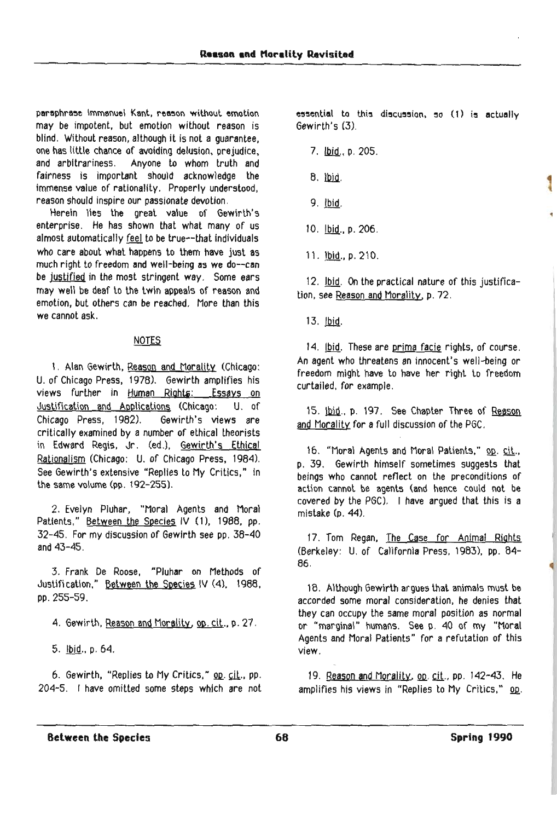paraphrase Immanuel Kant, reason without emotion may be impotent, but emotion without reason is blind. Without reason, although it is not a guarantee, one has little chance of avoiding delusion, prejudice, and arbitrariness. Anyone to whom truth and fairness is important should acknowledge the immense value of rationality. Properly understood, reason should inspire our passionate devotion.

Herein lies the great value of Gewirlh's enterprise. He has shown that what many of us almost automatically feel to be true--that individuals who care about what happens to them have just as much right to freedom and well-being as we do--can be justified in the most stringent way. Some ears may well be deaf to the twin appeals of reason and emotion, but others can be reached. More than this we cannot ask.

## **NOTES**

1. Alan Gewirth, Reason and Morality (Chicago: U. of Chicago Press, 1978). Gewirth amplifies his views further in Human Rights: Essays on Justification and Applications (Chicago: U. of Chicago Press. 1982). Gewirth's views are critically examined by a number of ethical theorists in Edward Regis, Jr. (ed.), Gewirth's Ethical Rationalism (Chicago: U. of Chicago Press, 1984). See Gewirth's extensive "Replies to My Critics," in the same volume (pp. 192-255).

2. Evelyn Pluhar, "Moral Agents and Moral Patients," Between the Species IV (1), 1988, pp. 32-45. For my discussion of Gewirth see pp. 38-40 and 43-45.

3. Frank De Roose, "Pluhar on Methods of Justification," Between the Species IV (4). 1988. pp.255-59.

4. Gewirth, Reason and Morality, op. cit., p. 27.

5. Ibid., p. 64.

6. Gewirth, "Replies to My Critics," op. cit., pp. 204-5. I have omitted some steps which are not  $e$ = $e$ = $e$ tial to this di $\sigma$ cu $\sigma$ sion,  $\sigma$  (1) is actually Gewirth's (3).

- 7. *Ibid., p. 205.*
- $8.$  lbid.
- 9. Ibid.
- 10. Ibid., p. 206.
- 11. Ibid., p. 210.

12. Ibid. On the practical nature of this justification, see Reason and Morality, p. 72.

13. lbid.

14. Ibid. These are prima facie rights, of course. An agent who threatens an innocent's well-being or freedom might have to have her right to freedom curtailed. for example.

15. Ibid., p. 197. See Chapter Three of Reason and Morality for a full discussion of the PGC.

16. "Moral Agents and Moral Patients," op. cit., p. 39. Gewirth himself sometimes suggests that beings who cannot reflect on the preconditions of action cannot be agents (and hence could not be covered by the PGC). I have argued that this is a mistake  $(p$  44).

17. Tom Regan, The Case for Animal Rights (Berkeley: U. of California Press. 1983). pp. 84- 86.

18. Although Gewirth argues that animals must be accorded some moral consideration. he denies that they can occupy the same moral position as normal or "marginal" humans. See p. 40 of my "Moral Agents and Moral Patients" for a refutation of this view.

19. Reason and Morality, op. cit., pp. 142-43. He amplifies his views in "Replies to My Critics," op.